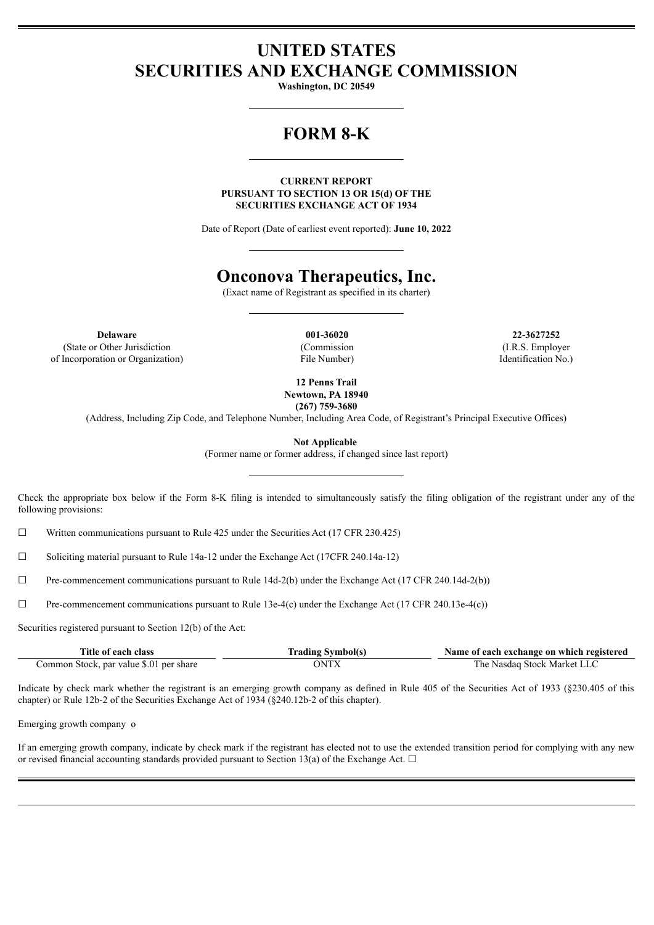# **UNITED STATES SECURITIES AND EXCHANGE COMMISSION**

**Washington, DC 20549**

# **FORM 8-K**

**CURRENT REPORT PURSUANT TO SECTION 13 OR 15(d) OF THE SECURITIES EXCHANGE ACT OF 1934**

Date of Report (Date of earliest event reported): **June 10, 2022**

# **Onconova Therapeutics, Inc.**

(Exact name of Registrant as specified in its charter)

**Delaware 001-36020 22-3627252** (State or Other Jurisdiction of Incorporation or Organization)

(Commission File Number)

(I.R.S. Employer Identification No.)

**12 Penns Trail Newtown, PA 18940 (267) 759-3680**

(Address, Including Zip Code, and Telephone Number, Including Area Code, of Registrant's Principal Executive Offices)

**Not Applicable**

(Former name or former address, if changed since last report)

Check the appropriate box below if the Form 8-K filing is intended to simultaneously satisfy the filing obligation of the registrant under any of the following provisions:

 $\Box$  Written communications pursuant to Rule 425 under the Securities Act (17 CFR 230.425)

☐ Soliciting material pursuant to Rule 14a-12 under the Exchange Act (17CFR 240.14a-12)

 $\Box$  Pre-commencement communications pursuant to Rule 14d-2(b) under the Exchange Act (17 CFR 240.14d-2(b))

☐ Pre-commencement communications pursuant to Rule 13e-4(c) under the Exchange Act (17 CFR 240.13e-4(c))

Securities registered pursuant to Section 12(b) of the Act:

| Title of each class                     | <b>Trading Symbol(s)</b> | Name of each exchange on which registered |
|-----------------------------------------|--------------------------|-------------------------------------------|
| Common Stock, par value \$.01 per share | ONTX                     | The Nasdag Stock Market LLC               |

Indicate by check mark whether the registrant is an emerging growth company as defined in Rule 405 of the Securities Act of 1933 (§230.405 of this chapter) or Rule 12b-2 of the Securities Exchange Act of 1934 (§240.12b-2 of this chapter).

Emerging growth company o

If an emerging growth company, indicate by check mark if the registrant has elected not to use the extended transition period for complying with any new or revised financial accounting standards provided pursuant to Section 13(a) of the Exchange Act.  $\Box$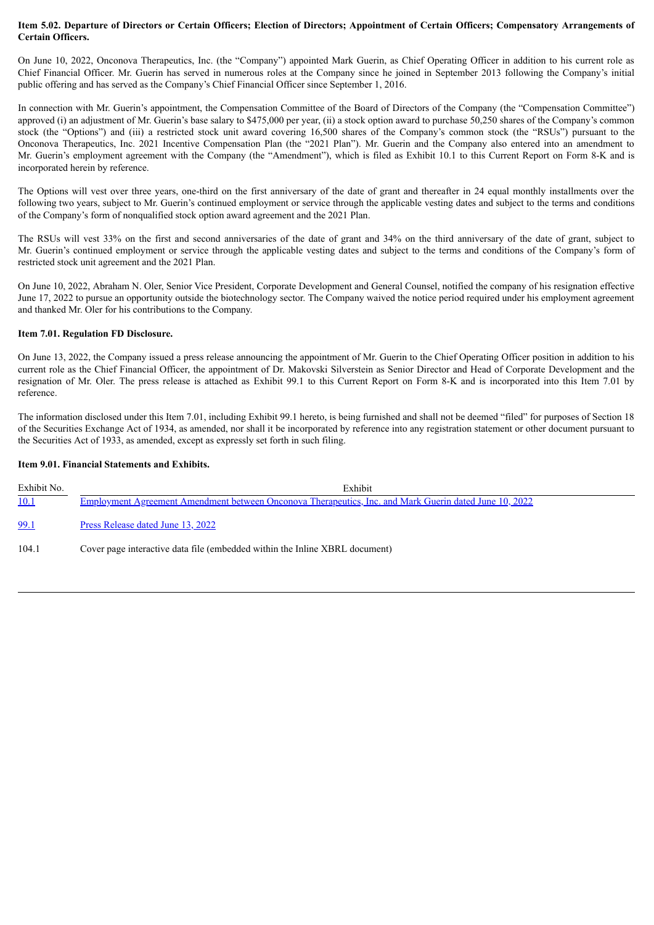### Item 5.02. Departure of Directors or Certain Officers; Election of Directors; Appointment of Certain Officers; Compensatory Arrangements of **Certain Officers.**

On June 10, 2022, Onconova Therapeutics, Inc. (the "Company") appointed Mark Guerin, as Chief Operating Officer in addition to his current role as Chief Financial Officer. Mr. Guerin has served in numerous roles at the Company since he joined in September 2013 following the Company's initial public offering and has served as the Company's Chief Financial Officer since September 1, 2016.

In connection with Mr. Guerin's appointment, the Compensation Committee of the Board of Directors of the Company (the "Compensation Committee") approved (i) an adjustment of Mr. Guerin's base salary to \$475,000 per year, (ii) a stock option award to purchase 50,250 shares of the Company's common stock (the "Options") and (iii) a restricted stock unit award covering 16,500 shares of the Company's common stock (the "RSUs") pursuant to the Onconova Therapeutics, Inc. 2021 Incentive Compensation Plan (the "2021 Plan"). Mr. Guerin and the Company also entered into an amendment to Mr. Guerin's employment agreement with the Company (the "Amendment"), which is filed as Exhibit 10.1 to this Current Report on Form 8-K and is incorporated herein by reference.

The Options will vest over three years, one-third on the first anniversary of the date of grant and thereafter in 24 equal monthly installments over the following two years, subject to Mr. Guerin's continued employment or service through the applicable vesting dates and subject to the terms and conditions of the Company's form of nonqualified stock option award agreement and the 2021 Plan.

The RSUs will vest 33% on the first and second anniversaries of the date of grant and 34% on the third anniversary of the date of grant, subject to Mr. Guerin's continued employment or service through the applicable vesting dates and subject to the terms and conditions of the Company's form of restricted stock unit agreement and the 2021 Plan.

On June 10, 2022, Abraham N. Oler, Senior Vice President, Corporate Development and General Counsel, notified the company of his resignation effective June 17, 2022 to pursue an opportunity outside the biotechnology sector. The Company waived the notice period required under his employment agreement and thanked Mr. Oler for his contributions to the Company.

## **Item 7.01. Regulation FD Disclosure.**

On June 13, 2022, the Company issued a press release announcing the appointment of Mr. Guerin to the Chief Operating Officer position in addition to his current role as the Chief Financial Officer, the appointment of Dr. Makovski Silverstein as Senior Director and Head of Corporate Development and the resignation of Mr. Oler. The press release is attached as Exhibit 99.1 to this Current Report on Form 8-K and is incorporated into this Item 7.01 by reference.

The information disclosed under this Item 7.01, including Exhibit 99.1 hereto, is being furnished and shall not be deemed "filed" for purposes of Section 18 of the Securities Exchange Act of 1934, as amended, nor shall it be incorporated by reference into any registration statement or other document pursuant to the Securities Act of 1933, as amended, except as expressly set forth in such filing.

### **Item 9.01. Financial Statements and Exhibits.**

| Exhibit No. | Exhibit                                                                                                |  |
|-------------|--------------------------------------------------------------------------------------------------------|--|
| 10.1        | Employment Agreement Amendment between Onconova Therapeutics, Inc. and Mark Guerin dated June 10, 2022 |  |
| 99.1        | Press Release dated June 13, 2022                                                                      |  |
| 104.        | Cover page interactive data file (embedded within the Inline XBRL document)                            |  |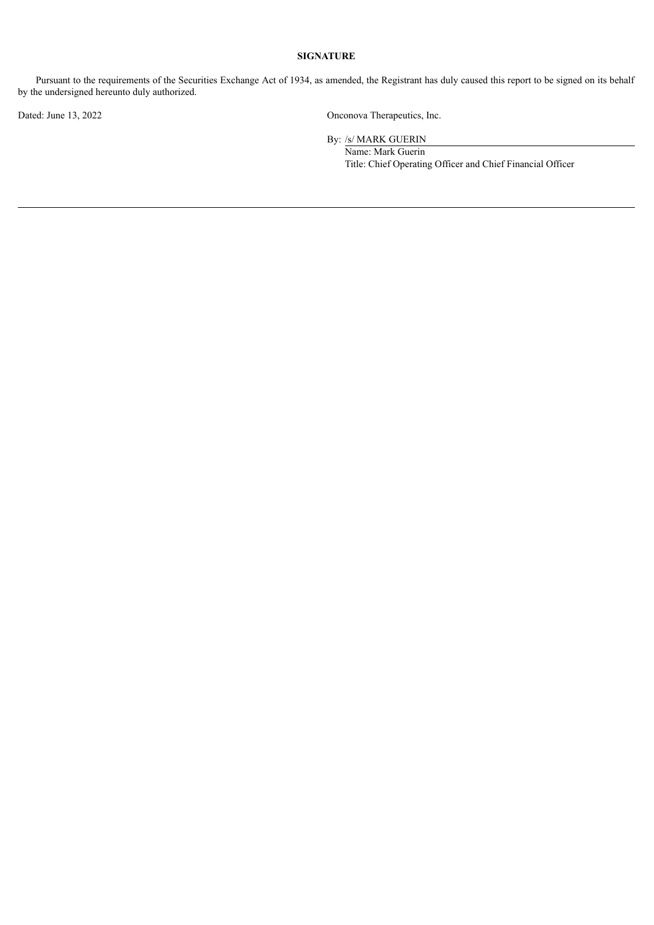## **SIGNATURE**

Pursuant to the requirements of the Securities Exchange Act of 1934, as amended, the Registrant has duly caused this report to be signed on its behalf by the undersigned hereunto duly authorized.

Dated: June 13, 2022 Onconova Therapeutics, Inc.

By: /s/ MARK GUERIN

Name: Mark Guerin Title: Chief Operating Officer and Chief Financial Officer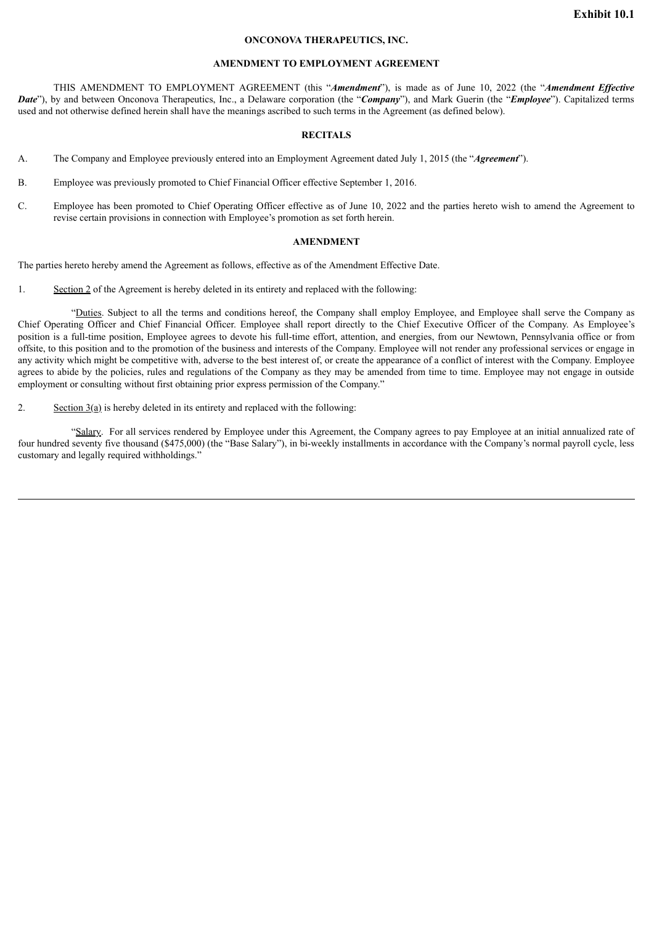#### **ONCONOVA THERAPEUTICS, INC.**

#### **AMENDMENT TO EMPLOYMENT AGREEMENT**

<span id="page-3-0"></span>THIS AMENDMENT TO EMPLOYMENT AGREEMENT (this "*Amendment*"), is made as of June 10, 2022 (the "*Amendment Ef ective Date*"), by and between Onconova Therapeutics, Inc., a Delaware corporation (the "*Company*"), and Mark Guerin (the "*Employee*"). Capitalized terms used and not otherwise defined herein shall have the meanings ascribed to such terms in the Agreement (as defined below).

#### **RECITALS**

- A. The Company and Employee previously entered into an Employment Agreement dated July 1, 2015 (the "*Agreement*").
- B. Employee was previously promoted to Chief Financial Officer effective September 1, 2016.
- C. Employee has been promoted to Chief Operating Officer effective as of June 10, 2022 and the parties hereto wish to amend the Agreement to revise certain provisions in connection with Employee's promotion as set forth herein.

#### **AMENDMENT**

The parties hereto hereby amend the Agreement as follows, effective as of the Amendment Effective Date.

1. Section 2 of the Agreement is hereby deleted in its entirety and replaced with the following:

"Duties. Subject to all the terms and conditions hereof, the Company shall employ Employee, and Employee shall serve the Company as Chief Operating Officer and Chief Financial Officer. Employee shall report directly to the Chief Executive Officer of the Company. As Employee's position is a full-time position, Employee agrees to devote his full-time effort, attention, and energies, from our Newtown, Pennsylvania office or from offsite, to this position and to the promotion of the business and interests of the Company. Employee will not render any professional services or engage in any activity which might be competitive with, adverse to the best interest of, or create the appearance of a conflict of interest with the Company. Employee agrees to abide by the policies, rules and regulations of the Company as they may be amended from time to time. Employee may not engage in outside employment or consulting without first obtaining prior express permission of the Company."

2. Section 3(a) is hereby deleted in its entirety and replaced with the following:

"Salary. For all services rendered by Employee under this Agreement, the Company agrees to pay Employee at an initial annualized rate of four hundred seventy five thousand (\$475,000) (the "Base Salary"), in bi-weekly installments in accordance with the Company's normal payroll cycle, less customary and legally required withholdings."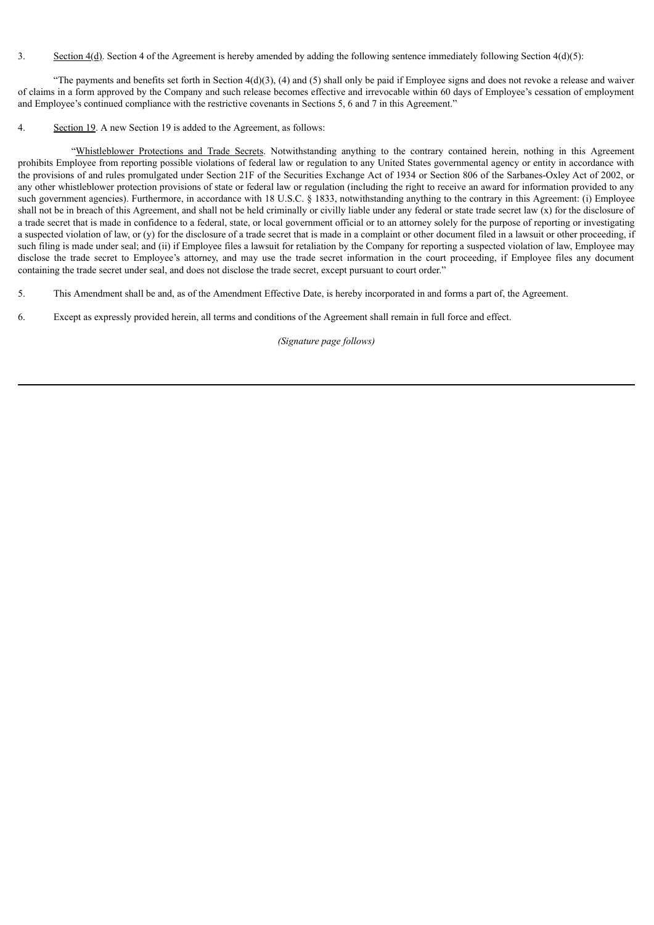### 3. Section 4(d). Section 4 of the Agreement is hereby amended by adding the following sentence immediately following Section 4(d)(5):

"The payments and benefits set forth in Section  $4(d)(3)$ ,  $(4)$  and  $(5)$  shall only be paid if Employee signs and does not revoke a release and waiver of claims in a form approved by the Company and such release becomes effective and irrevocable within 60 days of Employee's cessation of employment and Employee's continued compliance with the restrictive covenants in Sections 5, 6 and 7 in this Agreement."

4. Section 19. A new Section 19 is added to the Agreement, as follows:

"Whistleblower Protections and Trade Secrets. Notwithstanding anything to the contrary contained herein, nothing in this Agreement prohibits Employee from reporting possible violations of federal law or regulation to any United States governmental agency or entity in accordance with the provisions of and rules promulgated under Section 21F of the Securities Exchange Act of 1934 or Section 806 of the Sarbanes-Oxley Act of 2002, or any other whistleblower protection provisions of state or federal law or regulation (including the right to receive an award for information provided to any such government agencies). Furthermore, in accordance with 18 U.S.C. § 1833, notwithstanding anything to the contrary in this Agreement: (i) Employee shall not be in breach of this Agreement, and shall not be held criminally or civilly liable under any federal or state trade secret law (x) for the disclosure of a trade secret that is made in confidence to a federal, state, or local government official or to an attorney solely for the purpose of reporting or investigating a suspected violation of law, or (y) for the disclosure of a trade secret that is made in a complaint or other document filed in a lawsuit or other proceeding, if such filing is made under seal; and (ii) if Employee files a lawsuit for retaliation by the Company for reporting a suspected violation of law, Employee may disclose the trade secret to Employee's attorney, and may use the trade secret information in the court proceeding, if Employee files any document containing the trade secret under seal, and does not disclose the trade secret, except pursuant to court order."

5. This Amendment shall be and, as of the Amendment Effective Date, is hereby incorporated in and forms a part of, the Agreement.

6. Except as expressly provided herein, all terms and conditions of the Agreement shall remain in full force and effect.

*(Signature page follows)*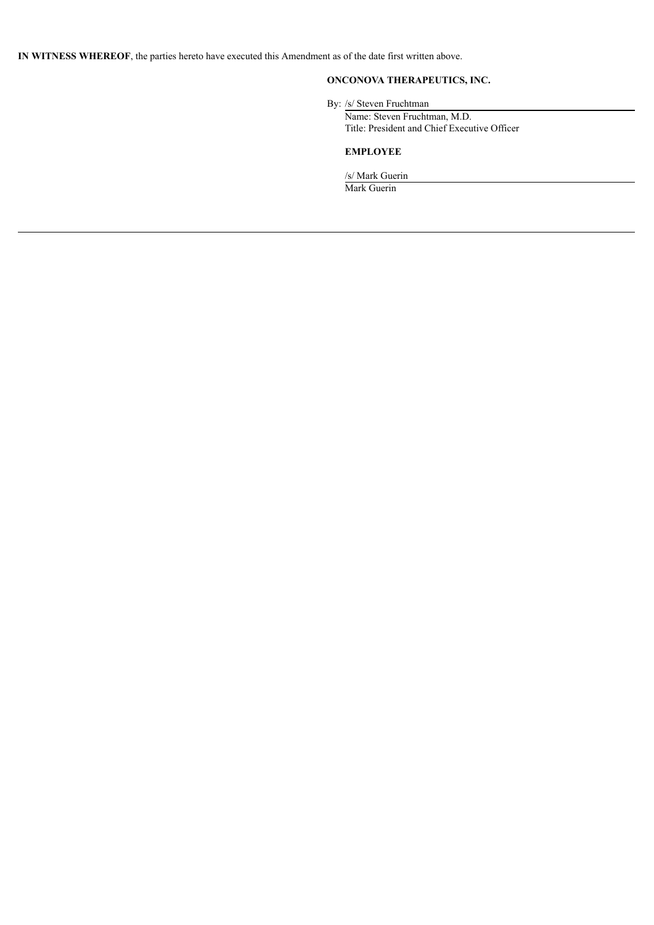**IN WITNESS WHEREOF**, the parties hereto have executed this Amendment as of the date first written above.

# **ONCONOVA THERAPEUTICS, INC.**

By: /s/ Steven Fruchtman

Name: Steven Fruchtman, M.D. Title: President and Chief Executive Officer

# **EMPLOYEE**

/s/ Mark Guerin Mark Guerin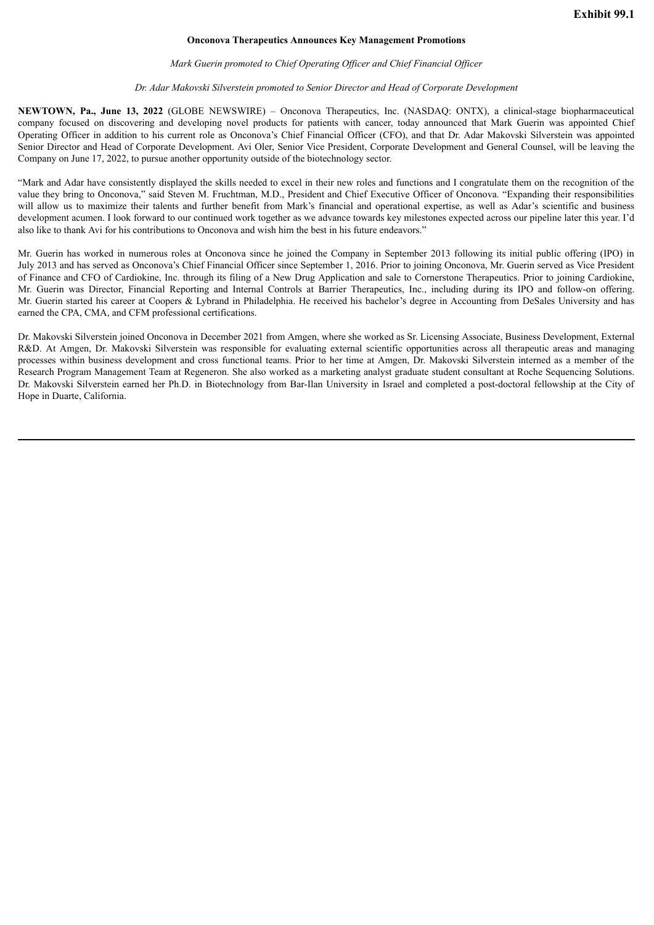#### **Onconova Therapeutics Announces Key Management Promotions**

#### *Mark Guerin promoted to Chief Operating Of icer and Chief Financial Of icer*

#### *Dr. Adar Makovski Silverstein promoted to Senior Director and Head of Corporate Development*

<span id="page-6-0"></span>**NEWTOWN, Pa., June 13, 2022** (GLOBE NEWSWIRE) – Onconova Therapeutics, Inc. (NASDAQ: ONTX), a clinical-stage biopharmaceutical company focused on discovering and developing novel products for patients with cancer, today announced that Mark Guerin was appointed Chief Operating Officer in addition to his current role as Onconova's Chief Financial Officer (CFO), and that Dr. Adar Makovski Silverstein was appointed Senior Director and Head of Corporate Development. Avi Oler, Senior Vice President, Corporate Development and General Counsel, will be leaving the Company on June 17, 2022, to pursue another opportunity outside of the biotechnology sector.

"Mark and Adar have consistently displayed the skills needed to excel in their new roles and functions and I congratulate them on the recognition of the value they bring to Onconova," said Steven M. Fruchtman, M.D., President and Chief Executive Officer of Onconova. "Expanding their responsibilities will allow us to maximize their talents and further benefit from Mark's financial and operational expertise, as well as Adar's scientific and business development acumen. I look forward to our continued work together as we advance towards key milestones expected across our pipeline later this year. I'd also like to thank Avi for his contributions to Onconova and wish him the best in his future endeavors."

Mr. Guerin has worked in numerous roles at Onconova since he joined the Company in September 2013 following its initial public offering (IPO) in July 2013 and has served as Onconova's Chief Financial Officer since September 1, 2016. Prior to joining Onconova, Mr. Guerin served as Vice President of Finance and CFO of Cardiokine, Inc. through its filing of a New Drug Application and sale to Cornerstone Therapeutics. Prior to joining Cardiokine, Mr. Guerin was Director, Financial Reporting and Internal Controls at Barrier Therapeutics, Inc., including during its IPO and follow-on offering. Mr. Guerin started his career at Coopers & Lybrand in Philadelphia. He received his bachelor's degree in Accounting from DeSales University and has earned the CPA, CMA, and CFM professional certifications.

Dr. Makovski Silverstein joined Onconova in December 2021 from Amgen, where she worked as Sr. Licensing Associate, Business Development, External R&D. At Amgen, Dr. Makovski Silverstein was responsible for evaluating external scientific opportunities across all therapeutic areas and managing processes within business development and cross functional teams. Prior to her time at Amgen, Dr. Makovski Silverstein interned as a member of the Research Program Management Team at Regeneron. She also worked as a marketing analyst graduate student consultant at Roche Sequencing Solutions. Dr. Makovski Silverstein earned her Ph.D. in Biotechnology from Bar-Ilan University in Israel and completed a post-doctoral fellowship at the City of Hope in Duarte, California.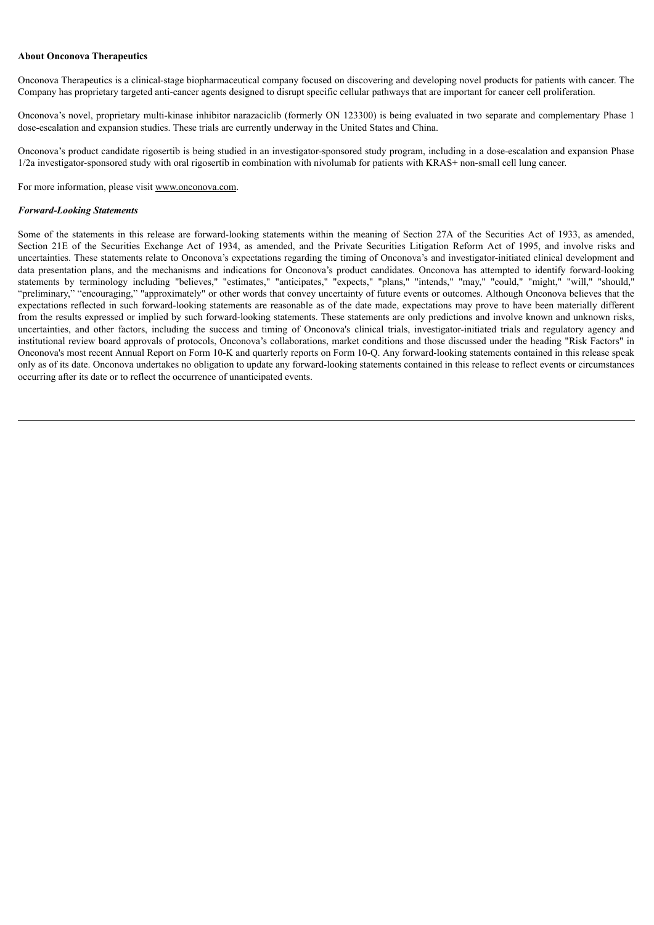#### **About Onconova Therapeutics**

Onconova Therapeutics is a clinical-stage biopharmaceutical company focused on discovering and developing novel products for patients with cancer. The Company has proprietary targeted anti-cancer agents designed to disrupt specific cellular pathways that are important for cancer cell proliferation.

Onconova's novel, proprietary multi-kinase inhibitor narazaciclib (formerly ON 123300) is being evaluated in two separate and complementary Phase 1 dose-escalation and expansion studies. These trials are currently underway in the United States and China.

Onconova's product candidate rigosertib is being studied in an investigator-sponsored study program, including in a dose-escalation and expansion Phase 1/2a investigator-sponsored study with oral rigosertib in combination with nivolumab for patients with KRAS+ non-small cell lung cancer.

For more information, please visit www.onconova.com.

#### *Forward-Looking Statements*

Some of the statements in this release are forward-looking statements within the meaning of Section 27A of the Securities Act of 1933, as amended, Section 21E of the Securities Exchange Act of 1934, as amended, and the Private Securities Litigation Reform Act of 1995, and involve risks and uncertainties. These statements relate to Onconova's expectations regarding the timing of Onconova's and investigator-initiated clinical development and data presentation plans, and the mechanisms and indications for Onconova's product candidates. Onconova has attempted to identify forward-looking statements by terminology including "believes," "estimates," "anticipates," "expects," "plans," "intends," "may," "could," "might," "will," "should," "preliminary," "encouraging," "approximately" or other words that convey uncertainty of future events or outcomes. Although Onconova believes that the expectations reflected in such forward-looking statements are reasonable as of the date made, expectations may prove to have been materially different from the results expressed or implied by such forward-looking statements. These statements are only predictions and involve known and unknown risks, uncertainties, and other factors, including the success and timing of Onconova's clinical trials, investigator-initiated trials and regulatory agency and institutional review board approvals of protocols, Onconova's collaborations, market conditions and those discussed under the heading "Risk Factors" in Onconova's most recent Annual Report on Form 10-K and quarterly reports on Form 10-Q. Any forward-looking statements contained in this release speak only as of its date. Onconova undertakes no obligation to update any forward-looking statements contained in this release to reflect events or circumstances occurring after its date or to reflect the occurrence of unanticipated events.